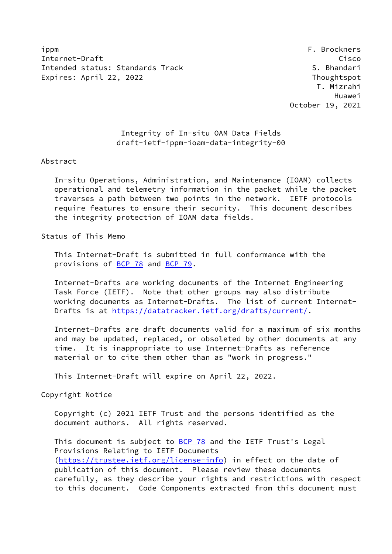ippm F. Brockners Internet-Draft Cisco Intended status: Standards Track S. Bhandari Expires: April 22, 2022 **Thoughtspot** 

# Integrity of In-situ OAM Data Fields draft-ietf-ippm-ioam-data-integrity-00

#### Abstract

 In-situ Operations, Administration, and Maintenance (IOAM) collects operational and telemetry information in the packet while the packet traverses a path between two points in the network. IETF protocols require features to ensure their security. This document describes the integrity protection of IOAM data fields.

## Status of This Memo

 This Internet-Draft is submitted in full conformance with the provisions of **BCP 78** and **BCP 79**.

 Internet-Drafts are working documents of the Internet Engineering Task Force (IETF). Note that other groups may also distribute working documents as Internet-Drafts. The list of current Internet Drafts is at<https://datatracker.ietf.org/drafts/current/>.

 Internet-Drafts are draft documents valid for a maximum of six months and may be updated, replaced, or obsoleted by other documents at any time. It is inappropriate to use Internet-Drafts as reference material or to cite them other than as "work in progress."

This Internet-Draft will expire on April 22, 2022.

Copyright Notice

 Copyright (c) 2021 IETF Trust and the persons identified as the document authors. All rights reserved.

This document is subject to **[BCP 78](https://datatracker.ietf.org/doc/pdf/bcp78)** and the IETF Trust's Legal Provisions Relating to IETF Documents [\(https://trustee.ietf.org/license-info](https://trustee.ietf.org/license-info)) in effect on the date of publication of this document. Please review these documents carefully, as they describe your rights and restrictions with respect to this document. Code Components extracted from this document must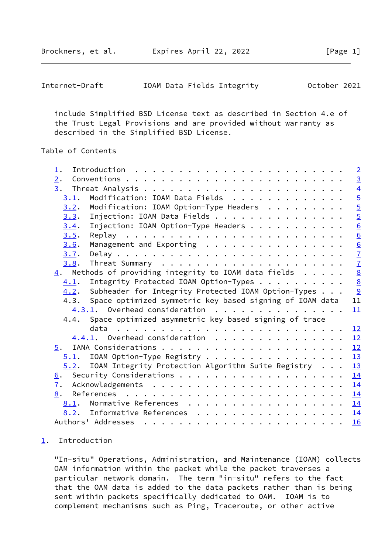Brockners, et al. Expires April 22, 2022 [Page 1]

<span id="page-1-1"></span>

| Internet-Draft |  |  | IOAM Data Fields Integrity | October 2021 |  |
|----------------|--|--|----------------------------|--------------|--|
|----------------|--|--|----------------------------|--------------|--|

 include Simplified BSD License text as described in Section 4.e of the Trust Legal Provisions and are provided without warranty as described in the Simplified BSD License.

# Table of Contents

| $\perp$ .        |                                                                                                                 | $\overline{2}$  |
|------------------|-----------------------------------------------------------------------------------------------------------------|-----------------|
| 2.               |                                                                                                                 | $\overline{3}$  |
| 3.               |                                                                                                                 | $\overline{4}$  |
| 3.1.             | Modification: IOAM Data Fields                                                                                  |                 |
| 3.2.             | Modification: IOAM Option-Type Headers                                                                          | $\frac{5}{5}$   |
| 3.3.             | Injection: IOAM Data Fields                                                                                     |                 |
| 3.4.             | Injection: IOAM Option-Type Headers                                                                             | $\frac{6}{6}$   |
| 3.5.             |                                                                                                                 |                 |
| 3.6.             | Management and Exporting                                                                                        | $\overline{6}$  |
| 3.7.             |                                                                                                                 |                 |
| 3.8.             |                                                                                                                 | $\frac{7}{7}$   |
|                  | $\frac{4}{1}$ . Methods of providing integrity to IOAM data fields                                              | $\underline{8}$ |
| 4.1.             | Integrity Protected IOAM Option-Types                                                                           | $rac{8}{9}$     |
| 4.2.             | Subheader for Integrity Protected IOAM Option-Types                                                             |                 |
|                  | 4.3. Space optimized symmetric key based signing of IOAM data                                                   | 11              |
|                  | $4.3.1.$ Overhead consideration $\cdot \cdot \cdot \cdot \cdot \cdot \cdot \cdot \cdot \cdot \cdot \cdot \cdot$ | 11              |
|                  | 4.4. Space optimized asymmetric key based signing of trace                                                      |                 |
|                  |                                                                                                                 | 12              |
|                  | $4.4.1$ . Overhead consideration                                                                                | 12              |
|                  |                                                                                                                 |                 |
|                  | $5.1$ . IOAM Option-Type Registry                                                                               | 13              |
| 5.2.             | IOAM Integrity Protection Algorithm Suite Registry                                                              | 13              |
| 6.               |                                                                                                                 |                 |
|                  |                                                                                                                 | 14              |
| $\overline{1}$ . |                                                                                                                 | 14              |
| 8.               |                                                                                                                 | 14              |
|                  | 8.1. Normative References                                                                                       | <u>14</u>       |
|                  | 8.2. Informative References 14                                                                                  |                 |

### <span id="page-1-0"></span>[1](#page-1-0). Introduction

 "In-situ" Operations, Administration, and Maintenance (IOAM) collects OAM information within the packet while the packet traverses a particular network domain. The term "in-situ" refers to the fact that the OAM data is added to the data packets rather than is being sent within packets specifically dedicated to OAM. IOAM is to complement mechanisms such as Ping, Traceroute, or other active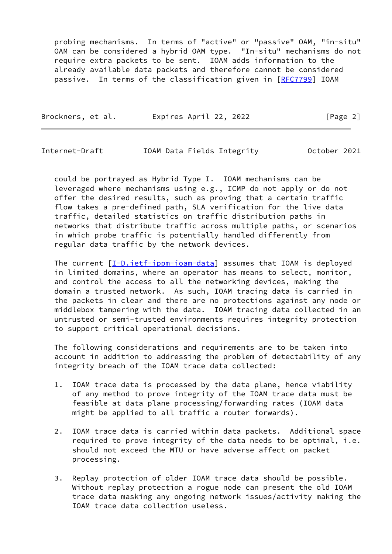probing mechanisms. In terms of "active" or "passive" OAM, "in-situ" OAM can be considered a hybrid OAM type. "In-situ" mechanisms do not require extra packets to be sent. IOAM adds information to the already available data packets and therefore cannot be considered passive. In terms of the classification given in [[RFC7799](https://datatracker.ietf.org/doc/pdf/rfc7799)] IOAM

| Brockners, et al. | Expires April 22, 2022 | [Page 2] |
|-------------------|------------------------|----------|
|                   |                        |          |

<span id="page-2-0"></span>Internet-Draft IOAM Data Fields Integrity October 2021

 could be portrayed as Hybrid Type I. IOAM mechanisms can be leveraged where mechanisms using e.g., ICMP do not apply or do not offer the desired results, such as proving that a certain traffic flow takes a pre-defined path, SLA verification for the live data traffic, detailed statistics on traffic distribution paths in networks that distribute traffic across multiple paths, or scenarios in which probe traffic is potentially handled differently from regular data traffic by the network devices.

The current  $[I-D.iett-ippm-ioam-data]$  assumes that IOAM is deployed in limited domains, where an operator has means to select, monitor, and control the access to all the networking devices, making the domain a trusted network. As such, IOAM tracing data is carried in the packets in clear and there are no protections against any node or middlebox tampering with the data. IOAM tracing data collected in an untrusted or semi-trusted environments requires integrity protection to support critical operational decisions.

 The following considerations and requirements are to be taken into account in addition to addressing the problem of detectability of any integrity breach of the IOAM trace data collected:

- 1. IOAM trace data is processed by the data plane, hence viability of any method to prove integrity of the IOAM trace data must be feasible at data plane processing/forwarding rates (IOAM data might be applied to all traffic a router forwards).
- 2. IOAM trace data is carried within data packets. Additional space required to prove integrity of the data needs to be optimal, i.e. should not exceed the MTU or have adverse affect on packet processing.
- 3. Replay protection of older IOAM trace data should be possible. Without replay protection a rogue node can present the old IOAM trace data masking any ongoing network issues/activity making the IOAM trace data collection useless.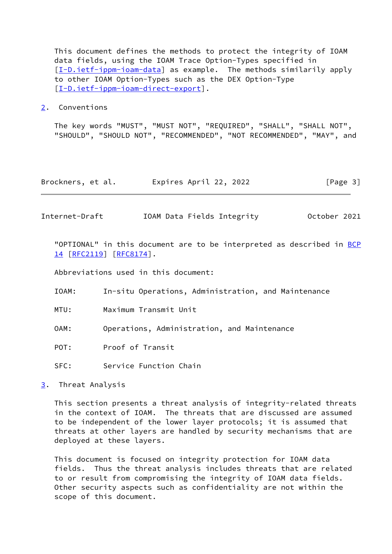This document defines the methods to protect the integrity of IOAM data fields, using the IOAM Trace Option-Types specified in [\[I-D.ietf-ippm-ioam-data](#page-15-2)] as example. The methods similarily apply to other IOAM Option-Types such as the DEX Option-Type [\[I-D.ietf-ippm-ioam-direct-export](#page-16-0)].

<span id="page-3-0"></span>[2](#page-3-0). Conventions

 The key words "MUST", "MUST NOT", "REQUIRED", "SHALL", "SHALL NOT", "SHOULD", "SHOULD NOT", "RECOMMENDED", "NOT RECOMMENDED", "MAY", and

| Brockners, et al. | Expires April 22, 2022 | [Page 3] |
|-------------------|------------------------|----------|
|-------------------|------------------------|----------|

<span id="page-3-2"></span>Internet-Draft IOAM Data Fields Integrity October 2021

"OPTIONAL" in this document are to be interpreted as described in [BCP](https://datatracker.ietf.org/doc/pdf/bcp14) [14](https://datatracker.ietf.org/doc/pdf/bcp14) [[RFC2119\]](https://datatracker.ietf.org/doc/pdf/rfc2119) [\[RFC8174](https://datatracker.ietf.org/doc/pdf/rfc8174)].

Abbreviations used in this document:

- IOAM: In-situ Operations, Administration, and Maintenance
- MTU: Maximum Transmit Unit
- OAM: Operations, Administration, and Maintenance
- POT: Proof of Transit
- SFC: Service Function Chain

<span id="page-3-1"></span>[3](#page-3-1). Threat Analysis

 This section presents a threat analysis of integrity-related threats in the context of IOAM. The threats that are discussed are assumed to be independent of the lower layer protocols; it is assumed that threats at other layers are handled by security mechanisms that are deployed at these layers.

 This document is focused on integrity protection for IOAM data fields. Thus the threat analysis includes threats that are related to or result from compromising the integrity of IOAM data fields. Other security aspects such as confidentiality are not within the scope of this document.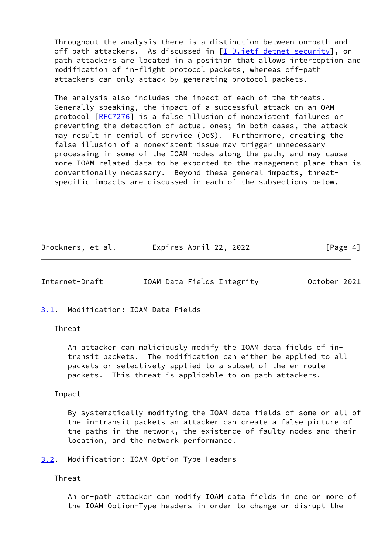Throughout the analysis there is a distinction between on-path and off-path attackers. As discussed in [\[I-D.ietf-detnet-security](#page-15-3)], on path attackers are located in a position that allows interception and modification of in-flight protocol packets, whereas off-path attackers can only attack by generating protocol packets.

 The analysis also includes the impact of each of the threats. Generally speaking, the impact of a successful attack on an OAM protocol [\[RFC7276](https://datatracker.ietf.org/doc/pdf/rfc7276)] is a false illusion of nonexistent failures or preventing the detection of actual ones; in both cases, the attack may result in denial of service (DoS). Furthermore, creating the false illusion of a nonexistent issue may trigger unnecessary processing in some of the IOAM nodes along the path, and may cause more IOAM-related data to be exported to the management plane than is conventionally necessary. Beyond these general impacts, threat specific impacts are discussed in each of the subsections below.

| Brockners, et al. | Expires April 22, 2022 | [Page 4] |
|-------------------|------------------------|----------|
|-------------------|------------------------|----------|

<span id="page-4-1"></span>Internet-Draft IOAM Data Fields Integrity October 2021

<span id="page-4-0"></span>[3.1](#page-4-0). Modification: IOAM Data Fields

Threat

 An attacker can maliciously modify the IOAM data fields of in transit packets. The modification can either be applied to all packets or selectively applied to a subset of the en route packets. This threat is applicable to on-path attackers.

Impact

 By systematically modifying the IOAM data fields of some or all of the in-transit packets an attacker can create a false picture of the paths in the network, the existence of faulty nodes and their location, and the network performance.

<span id="page-4-2"></span>[3.2](#page-4-2). Modification: IOAM Option-Type Headers

Threat

 An on-path attacker can modify IOAM data fields in one or more of the IOAM Option-Type headers in order to change or disrupt the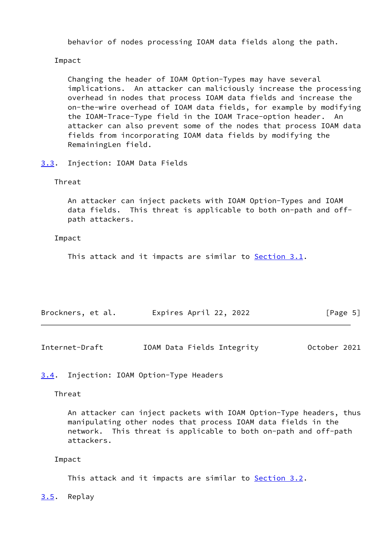behavior of nodes processing IOAM data fields along the path.

Impact

 Changing the header of IOAM Option-Types may have several implications. An attacker can maliciously increase the processing overhead in nodes that process IOAM data fields and increase the on-the-wire overhead of IOAM data fields, for example by modifying the IOAM-Trace-Type field in the IOAM Trace-option header. An attacker can also prevent some of the nodes that process IOAM data fields from incorporating IOAM data fields by modifying the RemainingLen field.

<span id="page-5-0"></span>[3.3](#page-5-0). Injection: IOAM Data Fields

# Threat

 An attacker can inject packets with IOAM Option-Types and IOAM data fields. This threat is applicable to both on-path and off path attackers.

## Impact

This attack and it impacts are similar to **Section 3.1**.

| Brockners, et al. | Expires April 22, 2022 | [Page 5] |
|-------------------|------------------------|----------|
|                   |                        |          |

<span id="page-5-2"></span>

| Internet-Draft |  |  | IOAM Data Fields Integrity | October 2021 |  |
|----------------|--|--|----------------------------|--------------|--|
|----------------|--|--|----------------------------|--------------|--|

# <span id="page-5-1"></span>[3.4](#page-5-1). Injection: IOAM Option-Type Headers

## Threat

 An attacker can inject packets with IOAM Option-Type headers, thus manipulating other nodes that process IOAM data fields in the network. This threat is applicable to both on-path and off-path attackers.

#### Impact

This attack and it impacts are similar to **Section 3.2**.

<span id="page-5-3"></span>[3.5](#page-5-3). Replay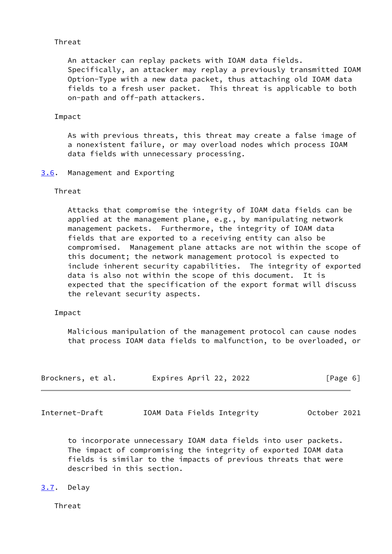# Threat

 An attacker can replay packets with IOAM data fields. Specifically, an attacker may replay a previously transmitted IOAM Option-Type with a new data packet, thus attaching old IOAM data fields to a fresh user packet. This threat is applicable to both on-path and off-path attackers.

# Impact

 As with previous threats, this threat may create a false image of a nonexistent failure, or may overload nodes which process IOAM data fields with unnecessary processing.

# <span id="page-6-0"></span>[3.6](#page-6-0). Management and Exporting

# Threat

 Attacks that compromise the integrity of IOAM data fields can be applied at the management plane, e.g., by manipulating network management packets. Furthermore, the integrity of IOAM data fields that are exported to a receiving entity can also be compromised. Management plane attacks are not within the scope of this document; the network management protocol is expected to include inherent security capabilities. The integrity of exported data is also not within the scope of this document. It is expected that the specification of the export format will discuss the relevant security aspects.

# Impact

 Malicious manipulation of the management protocol can cause nodes that process IOAM data fields to malfunction, to be overloaded, or

| Brockners, et al. | Expires April 22, 2022 |  | [Page 6] |  |
|-------------------|------------------------|--|----------|--|
|                   |                        |  |          |  |

<span id="page-6-2"></span>Internet-Draft IOAM Data Fields Integrity October 2021

 to incorporate unnecessary IOAM data fields into user packets. The impact of compromising the integrity of exported IOAM data fields is similar to the impacts of previous threats that were described in this section.

# <span id="page-6-1"></span>[3.7](#page-6-1). Delay

Threat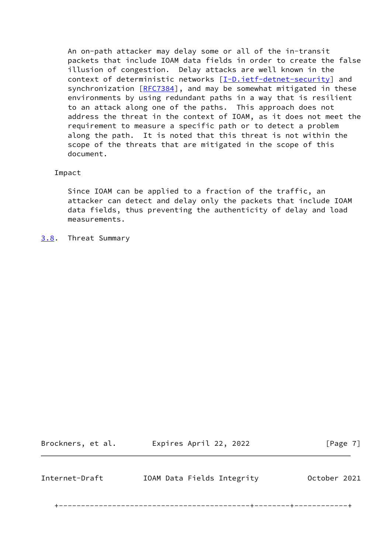An on-path attacker may delay some or all of the in-transit packets that include IOAM data fields in order to create the false illusion of congestion. Delay attacks are well known in the context of deterministic networks [\[I-D.ietf-detnet-security](#page-15-3)] and synchronization [[RFC7384\]](https://datatracker.ietf.org/doc/pdf/rfc7384), and may be somewhat mitigated in these environments by using redundant paths in a way that is resilient to an attack along one of the paths. This approach does not address the threat in the context of IOAM, as it does not meet the requirement to measure a specific path or to detect a problem along the path. It is noted that this threat is not within the scope of the threats that are mitigated in the scope of this document.

## Impact

 Since IOAM can be applied to a fraction of the traffic, an attacker can detect and delay only the packets that include IOAM data fields, thus preventing the authenticity of delay and load measurements.

<span id="page-7-0"></span>[3.8](#page-7-0). Threat Summary

<span id="page-7-1"></span>

| Brockners, et al. | [Page 7]                   |              |  |
|-------------------|----------------------------|--------------|--|
| Internet-Draft    | IOAM Data Fields Integrity | October 2021 |  |

+-------------------------------------------+--------+------------+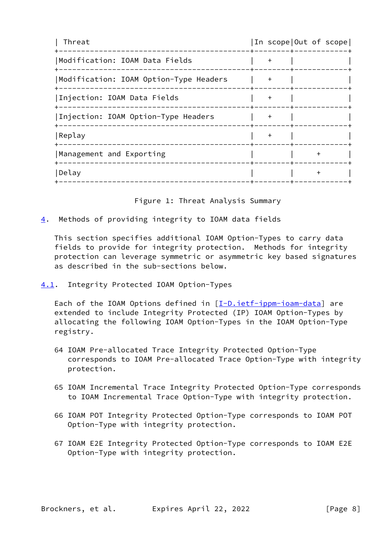| Threat                                 |     |           | In scope Out of scope |
|----------------------------------------|-----|-----------|-----------------------|
| Modification: IOAM Data Fields         | $+$ |           |                       |
| Modification: IOAM Option-Type Headers | $+$ |           |                       |
| Injection: IOAM Data Fields            | $+$ |           |                       |
| Injection: IOAM Option-Type Headers    | $+$ |           |                       |
| Replay                                 | $+$ |           |                       |
| Management and Exporting               |     | $\ddot{}$ |                       |
| Delay                                  |     |           |                       |
|                                        |     |           |                       |

Figure 1: Threat Analysis Summary

<span id="page-8-0"></span>[4](#page-8-0). Methods of providing integrity to IOAM data fields

 This section specifies additional IOAM Option-Types to carry data fields to provide for integrity protection. Methods for integrity protection can leverage symmetric or asymmetric key based signatures as described in the sub-sections below.

<span id="page-8-1"></span>[4.1](#page-8-1). Integrity Protected IOAM Option-Types

Each of the IOAM Options defined in  $[I-D.iett-ippm-ioam-data]$  are extended to include Integrity Protected (IP) IOAM Option-Types by allocating the following IOAM Option-Types in the IOAM Option-Type registry.

- 64 IOAM Pre-allocated Trace Integrity Protected Option-Type corresponds to IOAM Pre-allocated Trace Option-Type with integrity protection.
- 65 IOAM Incremental Trace Integrity Protected Option-Type corresponds to IOAM Incremental Trace Option-Type with integrity protection.
- 66 IOAM POT Integrity Protected Option-Type corresponds to IOAM POT Option-Type with integrity protection.
- 67 IOAM E2E Integrity Protected Option-Type corresponds to IOAM E2E Option-Type with integrity protection.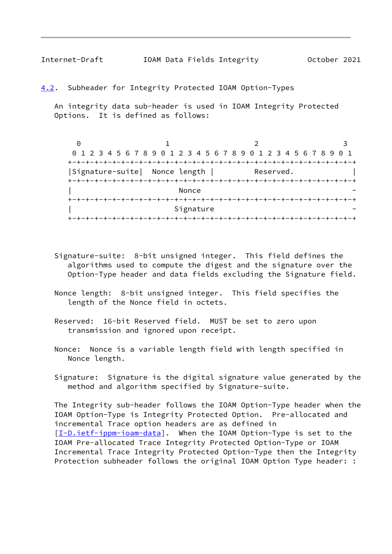<span id="page-9-1"></span>Internet-Draft IOAM Data Fields Integrity October 2021

<span id="page-9-0"></span>[4.2](#page-9-0). Subheader for Integrity Protected IOAM Option-Types

 An integrity data sub-header is used in IOAM Integrity Protected Options. It is defined as follows:

 $0$  1 2 3 0 1 2 3 4 5 6 7 8 9 0 1 2 3 4 5 6 7 8 9 0 1 2 3 4 5 6 7 8 9 0 1 +-+-+-+-+-+-+-+-+-+-+-+-+-+-+-+-+-+-+-+-+-+-+-+-+-+-+-+-+-+-+-+-+ |Signature-suite| Nonce length | Reserved. +-+-+-+-+-+-+-+-+-+-+-+-+-+-+-+-+-+-+-+-+-+-+-+-+-+-+-+-+-+-+-+-+  $\sim$  Nonce  $\sim$   $\sim$  +-+-+-+-+-+-+-+-+-+-+-+-+-+-+-+-+-+-+-+-+-+-+-+-+-+-+-+-+-+-+-+-+ Signature +-+-+-+-+-+-+-+-+-+-+-+-+-+-+-+-+-+-+-+-+-+-+-+-+-+-+-+-+-+-+-+-+

- Signature-suite: 8-bit unsigned integer. This field defines the algorithms used to compute the digest and the signature over the Option-Type header and data fields excluding the Signature field.
- Nonce length: 8-bit unsigned integer. This field specifies the length of the Nonce field in octets.
- Reserved: 16-bit Reserved field. MUST be set to zero upon transmission and ignored upon receipt.
- Nonce: Nonce is a variable length field with length specified in Nonce length.
- Signature: Signature is the digital signature value generated by the method and algorithm specified by Signature-suite.

 The Integrity sub-header follows the IOAM Option-Type header when the IOAM Option-Type is Integrity Protected Option. Pre-allocated and incremental Trace option headers are as defined in [\[I-D.ietf-ippm-ioam-data](#page-15-2)]. When the IOAM Option-Type is set to the IOAM Pre-allocated Trace Integrity Protected Option-Type or IOAM Incremental Trace Integrity Protected Option-Type then the Integrity Protection subheader follows the original IOAM Option Type header: :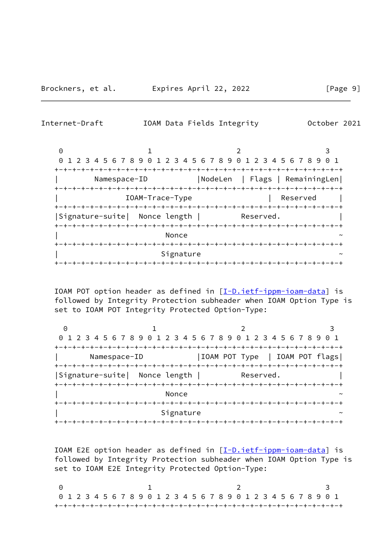Internet-Draft IOAM Data Fields Integrity October 2021

0 1 2 3 0 1 2 3 4 5 6 7 8 9 0 1 2 3 4 5 6 7 8 9 0 1 2 3 4 5 6 7 8 9 0 1 +-+-+-+-+-+-+-+-+-+-+-+-+-+-+-+-+-+-+-+-+-+-+-+-+-+-+-+-+-+-+-+-+ | Namespace-ID |NodeLen | Flags | RemainingLen| +-+-+-+-+-+-+-+-+-+-+-+-+-+-+-+-+-+-+-+-+-+-+-+-+-+-+-+-+-+-+-+-+ | IOAM-Trace-Type | Reserved | +-+-+-+-+-+-+-+-+-+-+-+-+-+-+-+-+-+-+-+-+-+-+-+-+-+-+-+-+-+-+-+-+ |Signature-suite| Nonce length | Reserved. +-+-+-+-+-+-+-+-+-+-+-+-+-+-+-+-+-+-+-+-+-+-+-+-+-+-+-+-+-+-+-+-+  $\blacksquare$   $\blacksquare$   $\blacksquare$   $\blacksquare$   $\blacksquare$   $\blacksquare$   $\blacksquare$   $\blacksquare$   $\blacksquare$   $\blacksquare$   $\blacksquare$   $\blacksquare$   $\blacksquare$   $\blacksquare$   $\blacksquare$   $\blacksquare$   $\blacksquare$   $\blacksquare$   $\blacksquare$   $\blacksquare$   $\blacksquare$   $\blacksquare$   $\blacksquare$   $\blacksquare$   $\blacksquare$   $\blacksquare$   $\blacksquare$   $\blacksquare$   $\blacksquare$   $\blacksquare$   $\blacksquare$   $\blacks$  +-+-+-+-+-+-+-+-+-+-+-+-+-+-+-+-+-+-+-+-+-+-+-+-+-+-+-+-+-+-+-+-+ Signature +-+-+-+-+-+-+-+-+-+-+-+-+-+-+-+-+-+-+-+-+-+-+-+-+-+-+-+-+-+-+-+-+

IOAM POT option header as defined in  $[I-D.ietf-ippm-ioam-data]$  $[I-D.ietf-ippm-ioam-data]$  is followed by Integrity Protection subheader when IOAM Option Type is set to IOAM POT Integrity Protected Option-Type:

0 1 2 3 0 1 2 3 4 5 6 7 8 9 0 1 2 3 4 5 6 7 8 9 0 1 2 3 4 5 6 7 8 9 0 1 +-+-+-+-+-+-+-+-+-+-+-+-+-+-+-+-+-+-+-+-+-+-+-+-+-+-+-+-+-+-+-+-+ Namespace-ID | |IOAM POT Type | IOAM POT flags +-+-+-+-+-+-+-+-+-+-+-+-+-+-+-+-+-+-+-+-+-+-+-+-+-+-+-+-+-+-+-+-+ |Signature-suite| Nonce length | Reserved. +-+-+-+-+-+-+-+-+-+-+-+-+-+-+-+-+-+-+-+-+-+-+-+-+-+-+-+-+-+-+-+-+  $\blacksquare$   $\blacksquare$   $\blacksquare$   $\blacksquare$   $\blacksquare$   $\blacksquare$   $\blacksquare$   $\blacksquare$   $\blacksquare$   $\blacksquare$   $\blacksquare$   $\blacksquare$   $\blacksquare$   $\blacksquare$   $\blacksquare$   $\blacksquare$   $\blacksquare$   $\blacksquare$   $\blacksquare$   $\blacksquare$   $\blacksquare$   $\blacksquare$   $\blacksquare$   $\blacksquare$   $\blacksquare$   $\blacksquare$   $\blacksquare$   $\blacksquare$   $\blacksquare$   $\blacksquare$   $\blacksquare$   $\blacks$  +-+-+-+-+-+-+-+-+-+-+-+-+-+-+-+-+-+-+-+-+-+-+-+-+-+-+-+-+-+-+-+-+ Signature +-+-+-+-+-+-+-+-+-+-+-+-+-+-+-+-+-+-+-+-+-+-+-+-+-+-+-+-+-+-+-+-+

 IOAM E2E option header as defined in [\[I-D.ietf-ippm-ioam-data](#page-15-2)] is followed by Integrity Protection subheader when IOAM Option Type is set to IOAM E2E Integrity Protected Option-Type:

0 1 2 3 0 1 2 3 4 5 6 7 8 9 0 1 2 3 4 5 6 7 8 9 0 1 2 3 4 5 6 7 8 9 0 1 +-+-+-+-+-+-+-+-+-+-+-+-+-+-+-+-+-+-+-+-+-+-+-+-+-+-+-+-+-+-+-+-+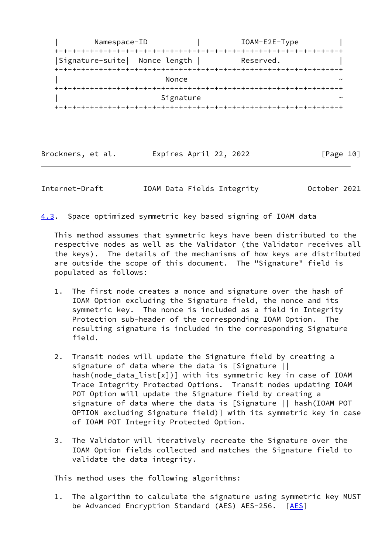| Namespace-ID                  |           | IOAM-E2E-Type |
|-------------------------------|-----------|---------------|
| Signature-suite  Nonce length |           | Reserved.     |
|                               | Nonce     |               |
|                               |           |               |
|                               | Signature |               |

Brockners, et al. Expires April 22, 2022 [Page 10]

<span id="page-11-0"></span>Internet-Draft IOAM Data Fields Integrity October 2021

<span id="page-11-1"></span>[4.3](#page-11-1). Space optimized symmetric key based signing of IOAM data

 This method assumes that symmetric keys have been distributed to the respective nodes as well as the Validator (the Validator receives all the keys). The details of the mechanisms of how keys are distributed are outside the scope of this document. The "Signature" field is populated as follows:

- 1. The first node creates a nonce and signature over the hash of IOAM Option excluding the Signature field, the nonce and its symmetric key. The nonce is included as a field in Integrity Protection sub-header of the corresponding IOAM Option. resulting signature is included in the corresponding Signature field.
- 2. Transit nodes will update the Signature field by creating a signature of data where the data is [Signature || hash(node\_data\_list[x])] with its symmetric key in case of IOAM Trace Integrity Protected Options. Transit nodes updating IOAM POT Option will update the Signature field by creating a signature of data where the data is [Signature || hash(IOAM POT OPTION excluding Signature field)] with its symmetric key in case of IOAM POT Integrity Protected Option.
- 3. The Validator will iteratively recreate the Signature over the IOAM Option fields collected and matches the Signature field to validate the data integrity.

This method uses the following algorithms:

 1. The algorithm to calculate the signature using symmetric key MUST be Advanced Encryption Standard (AES) AES-256. [\[AES](#page-15-4)]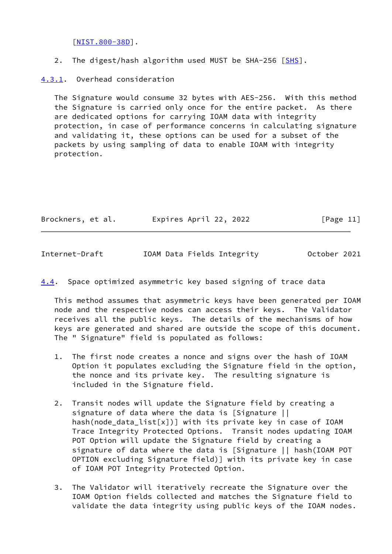[\[NIST.800-38D](#page-16-1)].

2. The digest/hash algorithm used MUST be SHA-256 [[SHS\]](#page-16-2).

<span id="page-12-0"></span>[4.3.1](#page-12-0). Overhead consideration

 The Signature would consume 32 bytes with AES-256. With this method the Signature is carried only once for the entire packet. As there are dedicated options for carrying IOAM data with integrity protection, in case of performance concerns in calculating signature and validating it, these options can be used for a subset of the packets by using sampling of data to enable IOAM with integrity protection.

| Brockners, et al. | Expires April 22, 2022 | [Page 11] |  |
|-------------------|------------------------|-----------|--|
|                   |                        |           |  |

<span id="page-12-1"></span>

| Internet-Draft |  | IOAM Data Fields Integrity | October 2021 |  |
|----------------|--|----------------------------|--------------|--|
|                |  |                            |              |  |

<span id="page-12-2"></span>[4.4](#page-12-2). Space optimized asymmetric key based signing of trace data

 This method assumes that asymmetric keys have been generated per IOAM node and the respective nodes can access their keys. The Validator receives all the public keys. The details of the mechanisms of how keys are generated and shared are outside the scope of this document. The " Signature" field is populated as follows:

- 1. The first node creates a nonce and signs over the hash of IOAM Option it populates excluding the Signature field in the option, the nonce and its private key. The resulting signature is included in the Signature field.
- 2. Transit nodes will update the Signature field by creating a signature of data where the data is [Signature || hash(node\_data\_list[x])] with its private key in case of IOAM Trace Integrity Protected Options. Transit nodes updating IOAM POT Option will update the Signature field by creating a signature of data where the data is [Signature || hash(IOAM POT OPTION excluding Signature field)] with its private key in case of IOAM POT Integrity Protected Option.
- 3. The Validator will iteratively recreate the Signature over the IOAM Option fields collected and matches the Signature field to validate the data integrity using public keys of the IOAM nodes.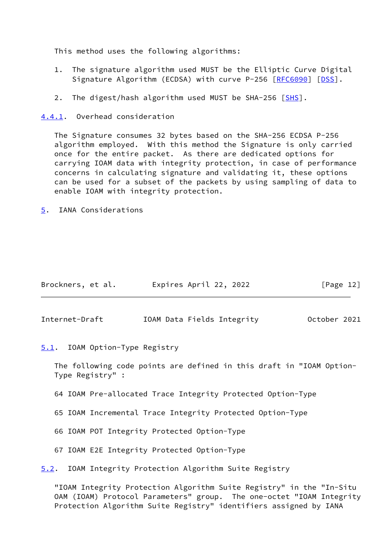This method uses the following algorithms:

- 1. The signature algorithm used MUST be the Elliptic Curve Digital Signature Algorithm (ECDSA) with curve P-256 [\[RFC6090](https://datatracker.ietf.org/doc/pdf/rfc6090)] [[DSS\]](#page-15-5).
- 2. The digest/hash algorithm used MUST be SHA-256 [[SHS\]](#page-16-2).

<span id="page-13-0"></span>[4.4.1](#page-13-0). Overhead consideration

 The Signature consumes 32 bytes based on the SHA-256 ECDSA P-256 algorithm employed. With this method the Signature is only carried once for the entire packet. As there are dedicated options for carrying IOAM data with integrity protection, in case of performance concerns in calculating signature and validating it, these options can be used for a subset of the packets by using sampling of data to enable IOAM with integrity protection.

<span id="page-13-1"></span>[5](#page-13-1). IANA Considerations

| Brockners, et al. | Expires April 22, 2022 |  | [Page 12] |  |
|-------------------|------------------------|--|-----------|--|
|                   |                        |  |           |  |

<span id="page-13-3"></span>Internet-Draft IOAM Data Fields Integrity October 2021

<span id="page-13-2"></span>[5.1](#page-13-2). IOAM Option-Type Registry

 The following code points are defined in this draft in "IOAM Option- Type Registry" :

64 IOAM Pre-allocated Trace Integrity Protected Option-Type

65 IOAM Incremental Trace Integrity Protected Option-Type

66 IOAM POT Integrity Protected Option-Type

67 IOAM E2E Integrity Protected Option-Type

<span id="page-13-4"></span>[5.2](#page-13-4). IOAM Integrity Protection Algorithm Suite Registry

 "IOAM Integrity Protection Algorithm Suite Registry" in the "In-Situ OAM (IOAM) Protocol Parameters" group. The one-octet "IOAM Integrity Protection Algorithm Suite Registry" identifiers assigned by IANA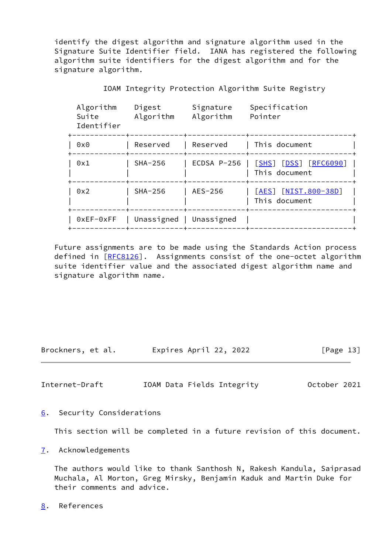identify the digest algorithm and signature algorithm used in the Signature Suite Identifier field. IANA has registered the following algorithm suite identifiers for the digest algorithm and for the signature algorithm.

| Algorithm<br>Suite<br>Identifier | Digest<br>Algorithm | Signature<br>Algorithm | Specification<br>Pointer                               |
|----------------------------------|---------------------|------------------------|--------------------------------------------------------|
| 0x0                              | Reserved            | Reserved               | This document                                          |
| 0x1                              | $SHA-256$           | ECDSA P-256            | <u>[SHS] [DSS] [RFC6090]</u><br>This document<br>-+--- |
| 0x2                              | $SHA-256$           | AES-256                | [AES] [NIST.800-38D]<br>This document                  |
| $0xEF-0xFF$                      | Unassigned          | Unassigned             |                                                        |

IOAM Integrity Protection Algorithm Suite Registry

 Future assignments are to be made using the Standards Action process defined in [[RFC8126\]](https://datatracker.ietf.org/doc/pdf/rfc8126). Assignments consist of the one-octet algorithm suite identifier value and the associated digest algorithm name and signature algorithm name.

Brockners, et al. Expires April 22, 2022 [Page 13]

<span id="page-14-1"></span>Internet-Draft IOAM Data Fields Integrity October 2021

<span id="page-14-0"></span>[6](#page-14-0). Security Considerations

This section will be completed in a future revision of this document.

<span id="page-14-2"></span>[7](#page-14-2). Acknowledgements

 The authors would like to thank Santhosh N, Rakesh Kandula, Saiprasad Muchala, Al Morton, Greg Mirsky, Benjamin Kaduk and Martin Duke for their comments and advice.

<span id="page-14-3"></span>[8](#page-14-3). References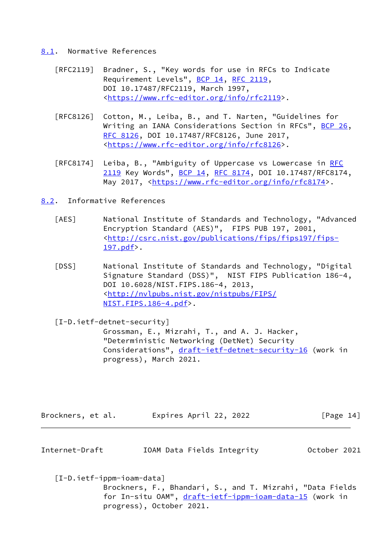### <span id="page-15-0"></span>[8.1](#page-15-0). Normative References

- [RFC2119] Bradner, S., "Key words for use in RFCs to Indicate Requirement Levels", [BCP 14](https://datatracker.ietf.org/doc/pdf/bcp14), [RFC 2119](https://datatracker.ietf.org/doc/pdf/rfc2119), DOI 10.17487/RFC2119, March 1997, <[https://www.rfc-editor.org/info/rfc2119>](https://www.rfc-editor.org/info/rfc2119).
- [RFC8126] Cotton, M., Leiba, B., and T. Narten, "Guidelines for Writing an IANA Considerations Section in RFCs", [BCP 26](https://datatracker.ietf.org/doc/pdf/bcp26), [RFC 8126,](https://datatracker.ietf.org/doc/pdf/rfc8126) DOI 10.17487/RFC8126, June 2017, <[https://www.rfc-editor.org/info/rfc8126>](https://www.rfc-editor.org/info/rfc8126).
- [RFC8174] Leiba, B., "Ambiguity of Uppercase vs Lowercase in [RFC](https://datatracker.ietf.org/doc/pdf/rfc2119) [2119](https://datatracker.ietf.org/doc/pdf/rfc2119) Key Words", [BCP 14](https://datatracker.ietf.org/doc/pdf/bcp14), [RFC 8174,](https://datatracker.ietf.org/doc/pdf/rfc8174) DOI 10.17487/RFC8174, May 2017, [<https://www.rfc-editor.org/info/rfc8174](https://www.rfc-editor.org/info/rfc8174)>.
- <span id="page-15-4"></span><span id="page-15-1"></span>[8.2](#page-15-1). Informative References
	- [AES] National Institute of Standards and Technology, "Advanced Encryption Standard (AES)", FIPS PUB 197, 2001, <[http://csrc.nist.gov/publications/fips/fips197/fips-](http://csrc.nist.gov/publications/fips/fips197/fips-197.pdf) [197.pdf](http://csrc.nist.gov/publications/fips/fips197/fips-197.pdf)>.
	- [DSS] National Institute of Standards and Technology, "Digital Signature Standard (DSS)", NIST FIPS Publication 186-4, DOI 10.6028/NIST.FIPS.186-4, 2013, <[http://nvlpubs.nist.gov/nistpubs/FIPS/](http://nvlpubs.nist.gov/nistpubs/FIPS/NIST.FIPS.186-4.pdf) [NIST.FIPS.186-4.pdf](http://nvlpubs.nist.gov/nistpubs/FIPS/NIST.FIPS.186-4.pdf)>.

<span id="page-15-5"></span><span id="page-15-3"></span> [I-D.ietf-detnet-security] Grossman, E., Mizrahi, T., and A. J. Hacker, "Deterministic Networking (DetNet) Security Considerations", [draft-ietf-detnet-security-16](https://datatracker.ietf.org/doc/pdf/draft-ietf-detnet-security-16) (work in progress), March 2021.

| Brockners, et al. | Expires April 22, 2022 | [Page 14] |
|-------------------|------------------------|-----------|
|-------------------|------------------------|-----------|

Internet-Draft IOAM Data Fields Integrity October 2021

<span id="page-15-2"></span> [I-D.ietf-ippm-ioam-data] Brockners, F., Bhandari, S., and T. Mizrahi, "Data Fields for In-situ OAM", [draft-ietf-ippm-ioam-data-15](https://datatracker.ietf.org/doc/pdf/draft-ietf-ippm-ioam-data-15) (work in progress), October 2021.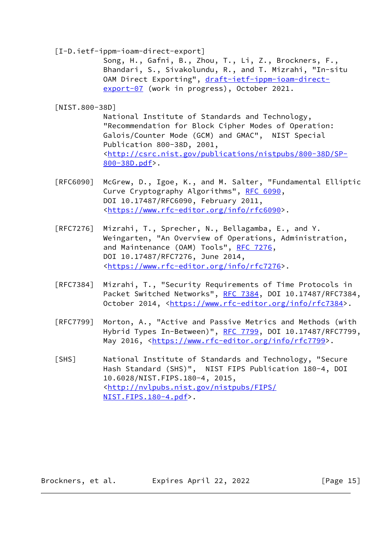<span id="page-16-0"></span>[I-D.ietf-ippm-ioam-direct-export]

 Song, H., Gafni, B., Zhou, T., Li, Z., Brockners, F., Bhandari, S., Sivakolundu, R., and T. Mizrahi, "In-situ OAM Direct Exporting", [draft-ietf-ippm-ioam-direct](https://datatracker.ietf.org/doc/pdf/draft-ietf-ippm-ioam-direct-export-07) [export-07](https://datatracker.ietf.org/doc/pdf/draft-ietf-ippm-ioam-direct-export-07) (work in progress), October 2021.

<span id="page-16-1"></span>[NIST.800-38D]

 National Institute of Standards and Technology, "Recommendation for Block Cipher Modes of Operation: Galois/Counter Mode (GCM) and GMAC", NIST Special Publication 800-38D, 2001, <[http://csrc.nist.gov/publications/nistpubs/800-38D/SP-](http://csrc.nist.gov/publications/nistpubs/800-38D/SP-800-38D.pdf) [800-38D.pdf](http://csrc.nist.gov/publications/nistpubs/800-38D/SP-800-38D.pdf)>.

- [RFC6090] McGrew, D., Igoe, K., and M. Salter, "Fundamental Elliptic Curve Cryptography Algorithms", [RFC 6090,](https://datatracker.ietf.org/doc/pdf/rfc6090) DOI 10.17487/RFC6090, February 2011, <[https://www.rfc-editor.org/info/rfc6090>](https://www.rfc-editor.org/info/rfc6090).
- [RFC7276] Mizrahi, T., Sprecher, N., Bellagamba, E., and Y. Weingarten, "An Overview of Operations, Administration, and Maintenance (OAM) Tools", [RFC 7276](https://datatracker.ietf.org/doc/pdf/rfc7276), DOI 10.17487/RFC7276, June 2014, <[https://www.rfc-editor.org/info/rfc7276>](https://www.rfc-editor.org/info/rfc7276).
- [RFC7384] Mizrahi, T., "Security Requirements of Time Protocols in Packet Switched Networks", [RFC 7384](https://datatracker.ietf.org/doc/pdf/rfc7384), DOI 10.17487/RFC7384, October 2014, [<https://www.rfc-editor.org/info/rfc7384](https://www.rfc-editor.org/info/rfc7384)>.
- [RFC7799] Morton, A., "Active and Passive Metrics and Methods (with Hybrid Types In-Between)", [RFC 7799](https://datatracker.ietf.org/doc/pdf/rfc7799), DOI 10.17487/RFC7799, May 2016, [<https://www.rfc-editor.org/info/rfc7799](https://www.rfc-editor.org/info/rfc7799)>.
- <span id="page-16-2"></span> [SHS] National Institute of Standards and Technology, "Secure Hash Standard (SHS)", NIST FIPS Publication 180-4, DOI 10.6028/NIST.FIPS.180-4, 2015, <[http://nvlpubs.nist.gov/nistpubs/FIPS/](http://nvlpubs.nist.gov/nistpubs/FIPS/NIST.FIPS.180-4.pdf) [NIST.FIPS.180-4.pdf](http://nvlpubs.nist.gov/nistpubs/FIPS/NIST.FIPS.180-4.pdf)>.

Brockners, et al. Expires April 22, 2022 [Page 15]